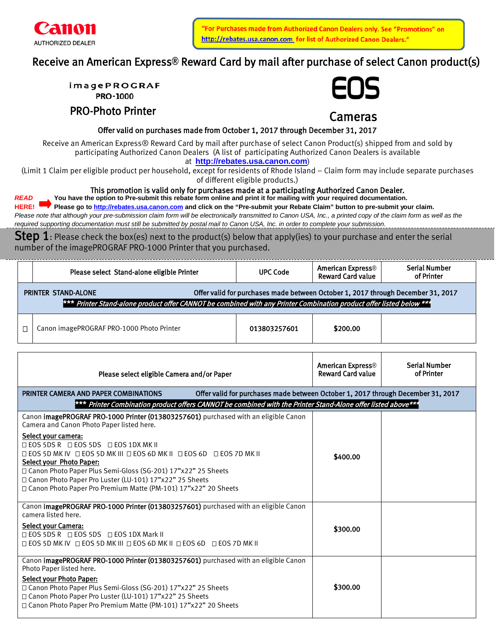

'For Purchases made from Authorized Canon Dealers only. See "Promotions" on http://rebates.usa.canon.com for list of Authorized Canon Dealers."

# Receive an American Express**®** Reward Card by mail after purchase of select Canon product(s)

**PRO-1000** 

PRO-Photo Printer



Cameras

Offer valid on purchases made from October 1, 2017 through December 31, 2017

Offer valid on purchases made from October 1, 2017 through December 31, 2017<br>Receive an American Express® Reward Card by mail after purchase of select Canon Product(s) shipped from and sold by participating Authorized Canon Dealers (A list of participating Authorized Canon Dealers is available

at **[http://rebates.usa.canon.com](http://rebates.usa.canon.com/)**)

(Limit 1 Claim per eligible product per household, except for residents of Rhode Island – Claim form may include separate purchases of different eligible products.)

# This promotion is valid only for purchases made at a participating Authorized Canon Dealer.

*READ* **You have the option to Pre-submit this rebate form online and print it for mailing with your required documentation. HERE! Please go to [http://rebates.usa.canon.com](http://rebates.usa.canon.com/) and click on the "Pre-submit your Rebate Claim" button to pre-submit your claim.** Please note that although your pre-submission claim form will be electronically transmitted to Canon USA, Inc., a printed copy of the claim form as well as the *required supporting documentation must still be submitted by postal mail to Canon USA, Inc. in order to complete your submission.*

**Step 1**: Please check the box(es) next to the product(s) below that apply(ies) to your purchase and enter the serial number of the imagePROGRAF PRO-1000 Printer that you purchased.

| Please select Stand-alone eligible Printer                                                                                                                                                                                             | <b>UPC Code</b> | American Express <sup>®</sup><br><b>Reward Card value</b> | <b>Serial Number</b><br>of Printer |  |
|----------------------------------------------------------------------------------------------------------------------------------------------------------------------------------------------------------------------------------------|-----------------|-----------------------------------------------------------|------------------------------------|--|
| Offer valid for purchases made between October 1, 2017 through December 31, 2017<br><b>PRINTER STAND-ALONE</b><br>*** Printer Stand-alone product offer CANNOT be combined with any Printer Combination product offer listed below *** |                 |                                                           |                                    |  |
| Canon imagePROGRAF PRO-1000 Photo Printer                                                                                                                                                                                              | 013803257601    | \$200.00                                                  |                                    |  |

| Please select eligible Camera and/or Paper                                                                                                                                                                                                                                                                                                                                  | American Express <sup>®</sup><br><b>Reward Card value</b> | <b>Serial Number</b><br>of Printer |
|-----------------------------------------------------------------------------------------------------------------------------------------------------------------------------------------------------------------------------------------------------------------------------------------------------------------------------------------------------------------------------|-----------------------------------------------------------|------------------------------------|
| Offer valid for purchases made between October 1, 2017 through December 31, 2017<br>PRINTER CAMERA AND PAPER COMBINATIONS                                                                                                                                                                                                                                                   |                                                           |                                    |
| *** Printer Combination product offers CANNOT be combined with the Printer Stand-Alone offer listed above***                                                                                                                                                                                                                                                                |                                                           |                                    |
| Canon imagePROGRAF PRO-1000 Printer (013803257601) purchased with an eligible Canon<br>Camera and Canon Photo Paper listed here.                                                                                                                                                                                                                                            |                                                           |                                    |
| Select your camera:<br>□ EOS 5DS R □ EOS 5DS □ EOS 1DX MK II<br>□ EOS 5D MK IV □ EOS 5D MK III □ EOS 6D MK II □ EOS 6D □ EOS 7D MK II<br><b>Select your Photo Paper:</b><br>□ Canon Photo Paper Plus Semi-Gloss (SG-201) 17"x22" 25 Sheets<br>□ Canon Photo Paper Pro Luster (LU-101) 17"x22" 25 Sheets<br>□ Canon Photo Paper Pro Premium Matte (PM-101) 17"x22" 20 Sheets | \$400.00                                                  |                                    |
| Canon imagePROGRAF PRO-1000 Printer (013803257601) purchased with an eligible Canon<br>camera listed here.<br>Select your Camera:<br>□ EOS 5DS R □ EOS 5DS □ EOS 1DX Mark II<br>□ EOS 5D MK IV □ EOS 5D MK III □ EOS 6D MK II □ EOS 6D □ EOS 7D MK II                                                                                                                       | \$300.00                                                  |                                    |
| Canon imagePROGRAF PRO-1000 Printer (013803257601) purchased with an eligible Canon<br>Photo Paper listed here.<br><b>Select your Photo Paper:</b><br>□ Canon Photo Paper Plus Semi-Gloss (SG-201) 17"x22" 25 Sheets<br>□ Canon Photo Paper Pro Luster (LU-101) 17"x22" 25 Sheets<br>□ Canon Photo Paper Pro Premium Matte (PM-101) 17"x22" 20 Sheets                       | \$300.00                                                  |                                    |